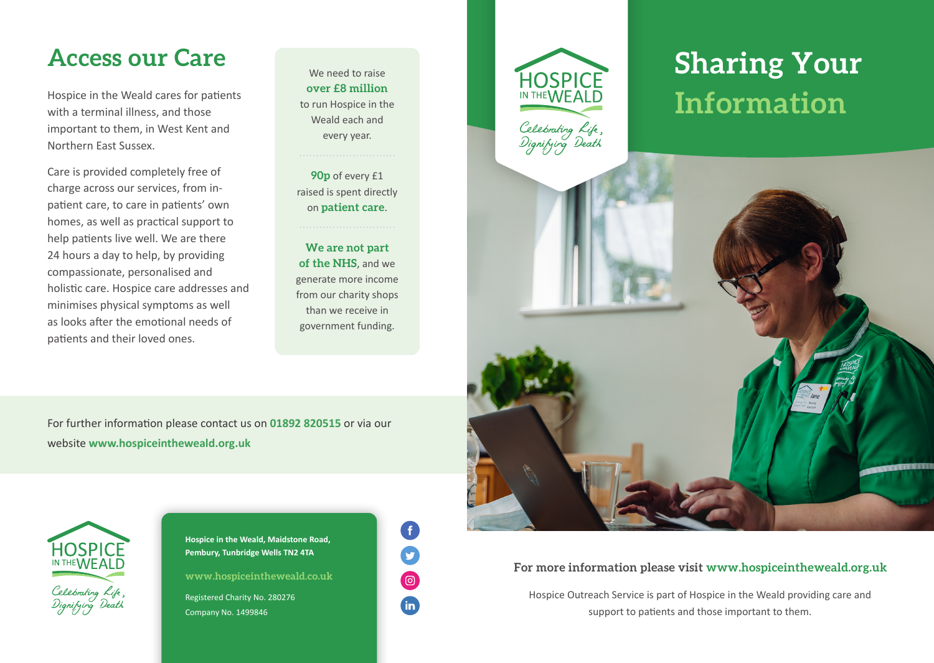## **Access our Care**

Hospice in the Weald cares for patients with a terminal illness, and those important to them, in West Kent and Northern East Sussex.

Care is provided completely free of charge across our services, from inpatient care, to care in patients' own homes, as well as practical support to help patients live well. We are there 24 hours a day to help, by providing compassionate, personalised and holistic care. Hospice care addresses and minimises physical symptoms as well as looks after the emotional needs of patients and their loved ones.

We need to raise **over £8 million** to run Hospice in the Weald each and every year.

**90p** of every £1 raised is spent directly on **patient care**.

**We are not part of the NHS**, and we generate more income from our charity shops than we receive in government funding.

For further information please contact us on **01892 820515** or via our website **www.hospiceintheweald.org.uk**



**Hospice in the Weald, Maidstone Road, Pembury, Tunbridge Wells TN2 4TA**

**www.hospiceintheweald.co.uk**

Registered Charity No. 280276 Company No. 1499846





# **Sharing Your Information**



Hospice Outreach Service is part of Hospice in the Weald providing care and support to patients and those important to them.